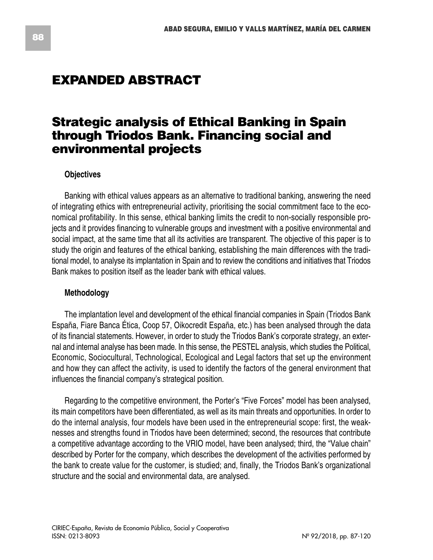# **EXPANDED ABSTRACT**

# **Strategic analysis of Ethical Banking in Spain through Triodos Bank. Financing social and environmental projects**

### **Objectives**

Banking with ethical values appears as an alternative to traditional banking, answering the need of integrating ethics with entrepreneurial activity, prioritising the social commitment face to the economical profitability. In this sense, ethical banking limits the credit to non-socially responsible projects and it provides financing to vulnerable groups and investment with a positive environmental and social impact, at the same time that all its activities are transparent. The objective of this paper is to study the origin and features of the ethical banking, establishing the main differences with the traditional model, to analyse its implantation in Spain and to review the conditions and initiatives that Triodos Bank makes to position itself as the leader bank with ethical values.

#### **Methodology**

The implantation level and development of the ethical financial companies in Spain (Triodos Bank España, Fiare Banca Ética, Coop 57, Oikocredit España, etc.) has been analysed through the data of its financial statements. However, in order to study the Triodos Bank's corporate strategy, an external and internal analyse has been made. In this sense, the PESTEL analysis, which studies the Political, Economic, Sociocultural, Technological, Ecological and Legal factors that set up the environment and how they can affect the activity, is used to identify the factors of the general environment that influences the financial company's strategical position.

Regarding to the competitive environment, the Porter's "Five Forces" model has been analysed, its main competitors have been differentiated, as well as its main threats and opportunities. In order to do the internal analysis, four models have been used in the entrepreneurial scope: first, the weaknesses and strengths found in Triodos have been determined; second, the resources that contribute a competitive advantage according to the VRIO model, have been analysed; third, the "Value chain" described by Porter for the company, which describes the development of the activities performed by the bank to create value for the customer, is studied; and, finally, the Triodos Bank's organizational structure and the social and environmental data, are analysed.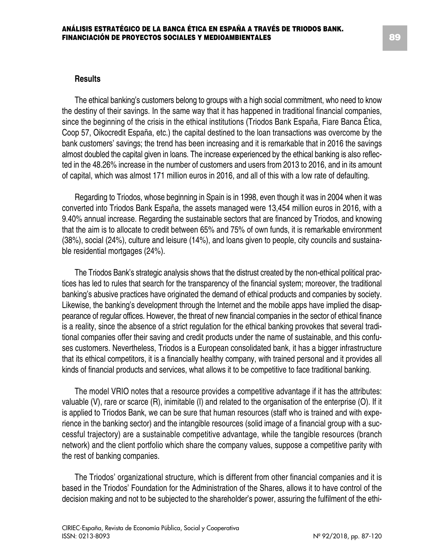#### **Results**

The ethical banking's customers belong to groups with a high social commitment, who need to know the destiny of their savings. In the same way that it has happened in traditional financial companies, since the beginning of the crisis in the ethical institutions (Triodos Bank España, Fiare Banca Ética, Coop 57, Oikocredit España, etc.) the capital destined to the loan transactions was overcome by the bank customers' savings; the trend has been increasing and it is remarkable that in 2016 the savings almost doubled the capital given in loans. The increase experienced by the ethical banking is also reflected in the 48.26% increase in the number of customers and users from 2013 to 2016, and in its amount of capital, which was almost 171 million euros in 2016, and all of this with a low rate of defaulting.

Regarding to Triodos, whose beginning in Spain is in 1998, even though it was in 2004 when it was converted into Triodos Bank España, the assets managed were 13,454 million euros in 2016, with a 9.40% annual increase. Regarding the sustainable sectors that are financed by Triodos, and knowing that the aim is to allocate to credit between 65% and 75% of own funds, it is remarkable environment (38%), social (24%), culture and leisure (14%), and loans given to people, city councils and sustainable residential mortgages (24%).

The Triodos Bank's strategic analysis shows that the distrust created by the non-ethical political practices has led to rules that search for the transparency of the financial system; moreover, the traditional banking's abusive practices have originated the demand of ethical products and companies by society. Likewise, the banking's development through the Internet and the mobile apps have implied the disappearance of regular offices. However, the threat of new financial companies in the sector of ethical finance is a reality, since the absence of a strict regulation for the ethical banking provokes that several traditional companies offer their saving and credit products under the name of sustainable, and this confuses customers. Nevertheless, Triodos is a European consolidated bank, it has a bigger infrastructure that its ethical competitors, it is a financially healthy company, with trained personal and it provides all kinds of financial products and services, what allows it to be competitive to face traditional banking.

The model VRIO notes that a resource provides a competitive advantage if it has the attributes: valuable (V), rare or scarce (R), inimitable (I) and related to the organisation of the enterprise (O). If it is applied to Triodos Bank, we can be sure that human resources (staff who is trained and with experience in the banking sector) and the intangible resources (solid image of a financial group with a successful trajectory) are a sustainable competitive advantage, while the tangible resources (branch network) and the client portfolio which share the company values, suppose a competitive parity with the rest of banking companies.

The Triodos' organizational structure, which is different from other financial companies and it is based in the Triodos' Foundation for the Administration of the Shares, allows it to have control of the decision making and not to be subjected to the shareholder's power, assuring the fulfilment of the ethi